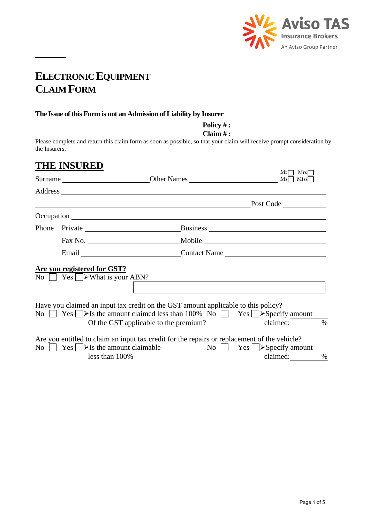

## **ELECTRONIC EQUIPMENT CLAIM FORM**

#### **The Issue of this Form is not an Admission of Liability by Insurer**

**Policy # :** 

**Claim # :** 

Please complete and return this claim form as soon as possible, so that your claim will receive prompt consideration by the Insurers.

## **THE INSURED**

|  |                                                                     |                                                                                                                                                                                                                                 | Mr<br>$Mrs\Box$<br>Ms<br>Miss                             |
|--|---------------------------------------------------------------------|---------------------------------------------------------------------------------------------------------------------------------------------------------------------------------------------------------------------------------|-----------------------------------------------------------|
|  |                                                                     |                                                                                                                                                                                                                                 |                                                           |
|  |                                                                     |                                                                                                                                                                                                                                 | Post Code                                                 |
|  |                                                                     |                                                                                                                                                                                                                                 |                                                           |
|  | Phone Private                                                       |                                                                                                                                                                                                                                 |                                                           |
|  |                                                                     |                                                                                                                                                                                                                                 |                                                           |
|  |                                                                     | Email Contact Name Contact Name                                                                                                                                                                                                 |                                                           |
|  | Are you registered for GST?<br>No $ $ Yes $ $ > What is your ABN?   |                                                                                                                                                                                                                                 |                                                           |
|  |                                                                     | Have you claimed an input tax credit on the GST amount applicable to this policy?<br>No $\Box$ Yes $\Box$ > Is the amount claimed less than 100% No $\Box$ Yes $\Box$ > Specify amount<br>Of the GST applicable to the premium? | claimed:<br>$\%$                                          |
|  | No $\Box$ Yes $\Box$ > Is the amount claimable<br>less than $100\%$ | Are you entitled to claim an input tax credit for the repairs or replacement of the vehicle?                                                                                                                                    | No $\Box$ Yes $\Box$ > Specify amount<br>claimed:<br>$\%$ |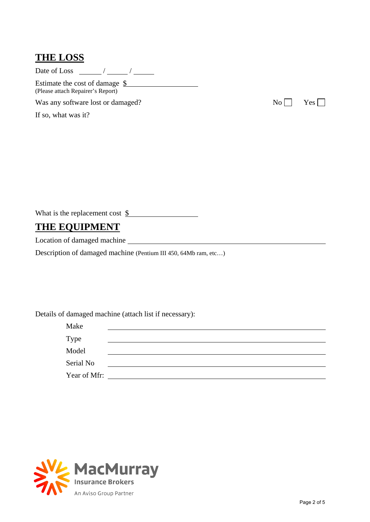#### **THE LOSS**

Date of Loss / /

Estimate the cost of damage  $\frac{\$}{\$}$ (Please attach Repairer's Report)

Was any software lost or damaged?  $N_0 \Box$  Yes  $\square$ 

If so, what was it?

What is the replacement cost \$

## **THE EQUIPMENT**

Location of damaged machine

Description of damaged machine (Pentium III 450, 64Mb ram, etc…)

Details of damaged machine (attach list if necessary):

| Make         |  |
|--------------|--|
| Type         |  |
| Model        |  |
| Serial No    |  |
| Year of Mfr: |  |

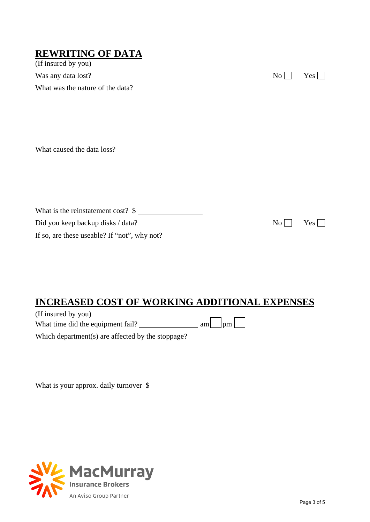### **REWRITING OF DATA**

(If insured by you) Was any data lost? No  $\Box$  Yes  $\Box$ What was the nature of the data?

What caused the data loss?

What is the reinstatement cost? \$ Did you keep backup disks / data? No  $\Box$  Yes  $\Box$ If so, are these useable? If "not", why not?

### **INCREASED COST OF WORKING ADDITIONAL EXPENSES**

(If insured by you) What time did the equipment fail?  $\frac{1}{2}$  am  $\frac{1}{2}$  pm  $\frac{1}{2}$ 

Which department(s) are affected by the stoppage?

What is your approx. daily turnover \$

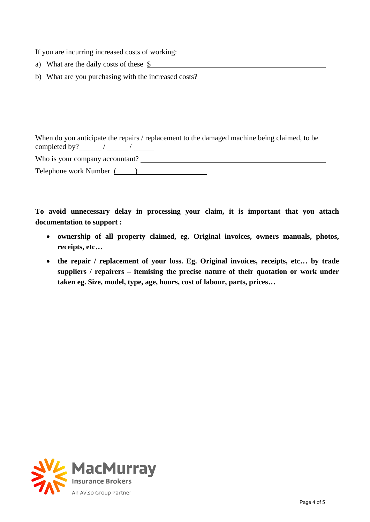If you are incurring increased costs of working:

- a) What are the daily costs of these \$
- b) What are you purchasing with the increased costs?

When do you anticipate the repairs / replacement to the damaged machine being claimed, to be completed by?  $\angle$  /  $\angle$  /

Who is your company accountant?

Telephone work Number ( )

**To avoid unnecessary delay in processing your claim, it is important that you attach documentation to support :** 

- **ownership of all property claimed, eg. Original invoices, owners manuals, photos, receipts, etc…**
- **the repair / replacement of your loss. Eg. Original invoices, receipts, etc… by trade suppliers / repairers – itemising the precise nature of their quotation or work under taken eg. Size, model, type, age, hours, cost of labour, parts, prices…**